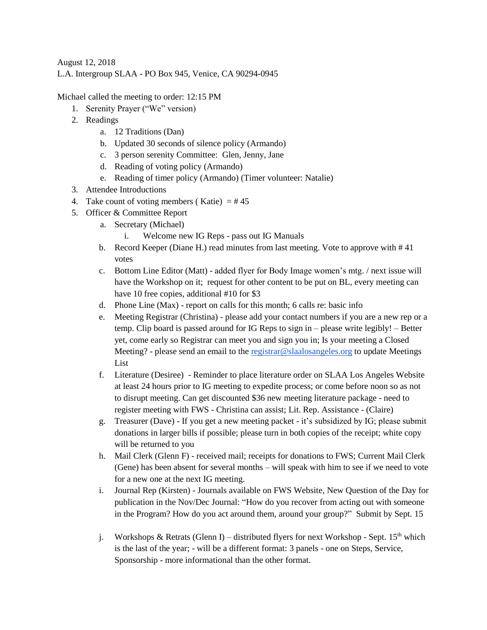August 12, 2018 L.A. Intergroup SLAA - PO Box 945, Venice, CA 90294-0945

Michael called the meeting to order: 12:15 PM

- 1. Serenity Prayer ("We" version)
- 2. Readings
	- a. 12 Traditions (Dan)
	- b. Updated 30 seconds of silence policy (Armando)
	- c. 3 person serenity Committee: Glen, Jenny, Jane
	- d. Reading of voting policy (Armando)
	- e. Reading of timer policy (Armando) (Timer volunteer: Natalie)
- 3. Attendee Introductions
- 4. Take count of voting members (Katie)  $=$  #45
- 5. Officer & Committee Report
	- a. Secretary (Michael)
		- i. Welcome new IG Reps pass out IG Manuals
	- b. Record Keeper (Diane H.) read minutes from last meeting. Vote to approve with # 41 votes
	- c. Bottom Line Editor (Matt) added flyer for Body Image women's mtg. / next issue will have the Workshop on it; request for other content to be put on BL, every meeting can have 10 free copies, additional #10 for \$3
	- d. Phone Line (Max) report on calls for this month; 6 calls re: basic info
	- e. Meeting Registrar (Christina) please add your contact numbers if you are a new rep or a temp. Clip board is passed around for IG Reps to sign in – please write legibly! – Better yet, come early so Registrar can meet you and sign you in; Is your meeting a Closed Meeting? - please send an email to th[e registrar@slaalosangeles.org](mailto:registrar@slaalosangeles.org) to update Meetings List
	- f. Literature (Desiree) Reminder to place literature order on SLAA Los Angeles Website at least 24 hours prior to IG meeting to expedite process; or come before noon so as not to disrupt meeting. Can get discounted \$36 new meeting literature package - need to register meeting with FWS - Christina can assist; Lit. Rep. Assistance - (Claire)
	- g. Treasurer (Dave) If you get a new meeting packet it's subsidized by IG; please submit donations in larger bills if possible; please turn in both copies of the receipt; white copy will be returned to you
	- h. Mail Clerk (Glenn F) received mail; receipts for donations to FWS; Current Mail Clerk (Gene) has been absent for several months – will speak with him to see if we need to vote for a new one at the next IG meeting.
	- i. Journal Rep (Kirsten) Journals available on FWS Website, New Question of the Day for publication in the Nov/Dec Journal: "How do you recover from acting out with someone in the Program? How do you act around them, around your group?" Submit by Sept. 15
	- j. Workshops & Retrats (Glenn I) distributed flyers for next Workshop Sept. 15<sup>th</sup> which is the last of the year; - will be a different format: 3 panels - one on Steps, Service, Sponsorship - more informational than the other format.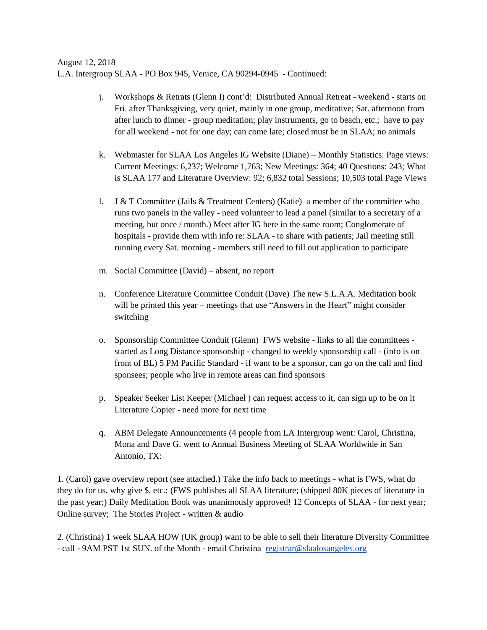August 12, 2018 L.A. Intergroup SLAA - PO Box 945, Venice, CA 90294-0945 - Continued:

- j. Workshops & Retrats (Glenn I) cont'd: Distributed Annual Retreat weekend starts on Fri. after Thanksgiving, very quiet, mainly in one group, meditative; Sat. afternoon from after lunch to dinner - group meditation; play instruments, go to beach, etc.; have to pay for all weekend - not for one day; can come late; closed must be in SLAA; no animals
- k. Webmaster for SLAA Los Angeles IG Website (Diane) Monthly Statistics: Page views: Current Meetings: 6,237; Welcome 1,763; New Meetings: 364; 40 Questions: 243; What is SLAA 177 and Literature Overview: 92; 6,832 total Sessions; 10,503 total Page Views
- l. J & T Committee (Jails & Treatment Centers) (Katie) a member of the committee who runs two panels in the valley - need volunteer to lead a panel (similar to a secretary of a meeting, but once / month.) Meet after IG here in the same room; Conglomerate of hospitals - provide them with info re: SLAA - to share with patients; Jail meeting still running every Sat. morning - members still need to fill out application to participate
- m. Social Committee (David) absent, no report
- n. Conference Literature Committee Conduit (Dave) The new S.L.A.A. Meditation book will be printed this year – meetings that use "Answers in the Heart" might consider switching
- o. Sponsorship Committee Conduit (Glenn) FWS website links to all the committees started as Long Distance sponsorship - changed to weekly sponsorship call - (info is on front of BL) 5 PM Pacific Standard - if want to be a sponsor, can go on the call and find sponsees; people who live in remote areas can find sponsors
- p. Speaker Seeker List Keeper (Michael ) can request access to it, can sign up to be on it Literature Copier - need more for next time
- q. ABM Delegate Announcements (4 people from LA Intergroup went: Carol, Christina, Mona and Dave G. went to Annual Business Meeting of SLAA Worldwide in San Antonio, TX:

1. (Carol) gave overview report (see attached.) Take the info back to meetings - what is FWS, what do they do for us, why give \$, etc.; (FWS publishes all SLAA literature; (shipped 80K pieces of literature in the past year;) Daily Meditation Book was unanimously approved! 12 Concepts of SLAA - for next year; Online survey; The Stories Project - written & audio

2. (Christina) 1 week SLAA HOW (UK group) want to be able to sell their literature Diversity Committee - call - 9AM PST 1st SUN. of the Month - email Christina [registrar@slaalosangeles.org](mailto:registrar@slaalosangeles.org)